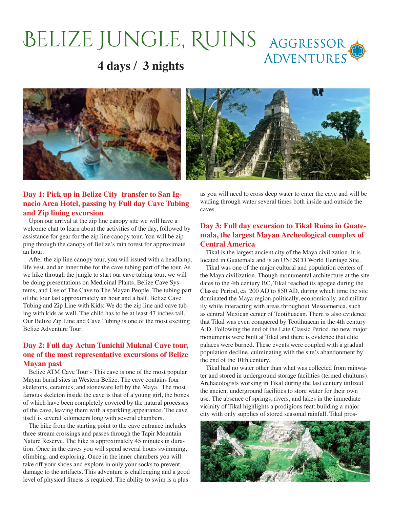# BELIZE JUNGLE, RUINS AGGRESSOR

### **4 days / 3 nights**



#### **Day 1: Pick up in Belize City transfer to San Ignacio Area Hotel, passing by Full day Cave Tubing and Zip lining excursion**

Upon our arrival at the zip line canopy site we will have a welcome chat to learn about the activities of the day, followed by assistance for gear for the zip line canopy tour. You will be zipping through the canopy of Belize's rain forest for approximate an hour.

After the zip line canopy tour, you will issued with a headlamp, life vest, and an inner tube for the cave tubing part of the tour. As we hike through the jungle to start our cave tubing tour, we will be doing presentations on Medicinal Plants, Belize Cave Systems, and Use of The Cave to The Mayan People. The tubing part of the tour last approximately an hour and a half. Belize Cave Tubing and Zip Line with Kids: We do the zip line and cave tubing with kids as well. The child has to be at least 47 inches tall. Our Belize Zip Line and Cave Tubing is one of the most exciting Belize Adventure Tour.

#### **Day 2: Full day Actun Tunichil Muknal Cave tour, one of the most representative excursions of Belize Mayan past**

Belize ATM Cave Tour - This cave is one of the most popular Mayan burial sites in Western Belize. The cave contains four skeletons, ceramics, and stoneware left by the Maya. The most famous skeleton inside the cave is that of a young girl, the bones of which have been completely covered by the natural processes of the cave, leaving them with a sparkling appearance. The cave itself is several kilometers long with several chambers.

The hike from the starting point to the cave entrance includes three stream crossings and passes through the Tapir Mountain Nature Reserve. The hike is approximately 45 minutes in duration. Once in the caves you will spend several hours swimming, climbing, and exploring. Once in the inner chambers you will take off your shoes and explore in only your socks to prevent damage to the artifacts. This adventure is challenging and a good level of physical fitness is required. The ability to swim is a plus

as you will need to cross deep water to enter the cave and will be wading through water several times both inside and outside the caves.

#### **Day 3: Full day excursion to Tikal Ruins in Guatemala, the largest Mayan Archeological complex of Central America**

Tikal is the largest ancient city of the Maya civilization. It is located in Guatemala and is an UNESCO World Heritage Site.

Tikal was one of the major cultural and population centers of the Maya civilization. Though monumental architecture at the site dates to the 4th century BC, Tikal reached its apogee during the Classic Period, ca. 200 AD to 850 AD, during which time the site dominated the Maya region politically, economically, and militarily while interacting with areas throughout Mesoamerica, such as central Mexican center of Teotihuacan. There is also evidence that Tikal was even conquered by Teotihuacan in the 4th century A.D. Following the end of the Late Classic Period, no new major monuments were built at Tikal and there is evidence that elite palaces were burned. These events were coupled with a gradual population decline, culminating with the site's abandonment by the end of the 10th century.

Tikal had no water other than what was collected from rainwater and stored in underground storage facilities (termed chultuns). Archaeologists working in Tikal during the last century utilized the ancient underground facilities to store water for their own use. The absence of springs, rivers, and lakes in the immediate vicinity of Tikal highlights a prodigious feat: building a major city with only supplies of stored seasonal rainfall. Tikal pros-